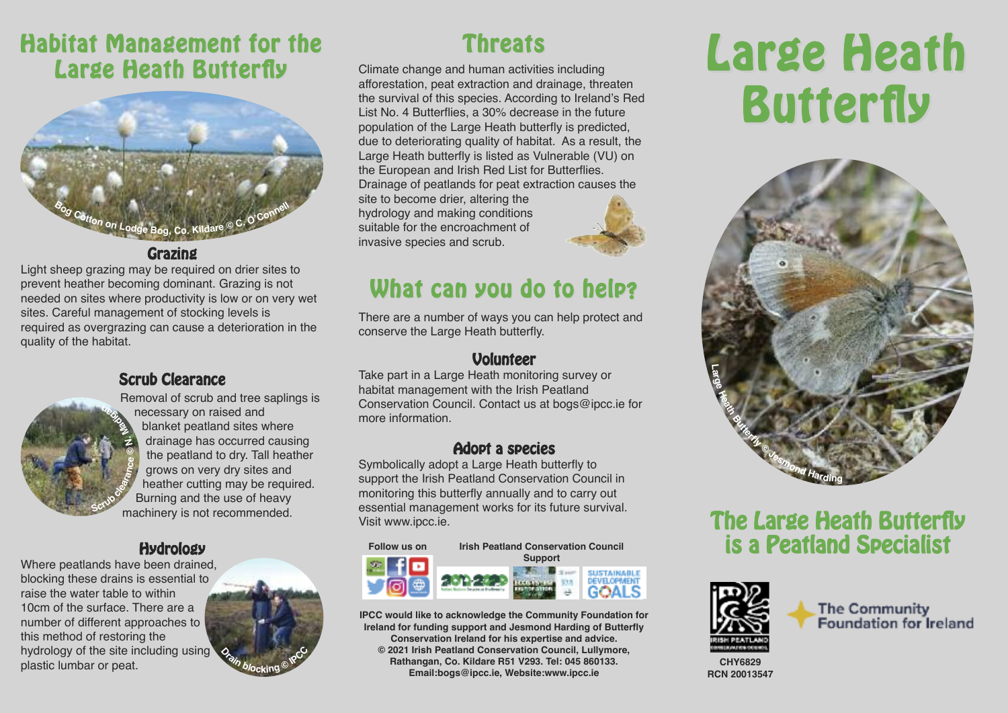## **Habitat Management for the Threats Large Heath Butterfly**



**Grazing**

Light sheep grazing may be required on drier sites to prevent heather becoming dominant. Grazing is not needed on sites where productivity is low or on very wet sites. Careful management of stocking levels is required as overgrazing can cause a deterioration in the quality of the habitat.

### **Scrub Clearance**



Removal of scrub and tree saplings is necessary on raised and blanket peatland sites where drainage has occurred causing the peatland to dry. Tall heather grows on very dry sites and heather cutting may be required. Burning and the use of heavy machinery is not recommended.

### **Hydrology**

Where peatlands have been drained, blocking these drains is essential to raise the water table to within 10cm of the surface. There are a number of different approaches to this method of restoring the hydrology of the site including using plastic lumbar or peat.



Climate change and human activities including afforestation, peat extraction and drainage, threaten the survival of this species. According to Ireland's Red List No. 4 Butterflies, a 30% decrease in the future population of the Large Heath butterfly is predicted, due to deteriorating quality of habitat. As a result, the Large Heath butterfly is listed as Vulnerable (VU) on the European and Irish Red List for Butterflies. Drainage of peatlands for peat extraction causes the

site to become drier, altering the hydrology and making conditions suitable for the encroachment of invasive species and scrub.



# **What can you do to help?**

There are a number of ways you can help protect and conserve the Large Heath butterfly.

### **Volunteer**

Take part in a Large Heath monitoring survey or habitat management with the Irish Peatland Conservation Council. Contact us at bogs@ipcc.ie for more information.

### **Adopt a species**

Symbolically adopt a Large Heath butterfly to support the Irish Peatland Conservation Council in monitoring this butterfly annually and to carry out essential management works for its future survival. Visit www.ipcc.ie.



**IPCC would like to acknowledge the Community Foundation for Ireland for funding support and Jesmond Harding of Butterfly Conservation Ireland for his expertise and advice. © 2021 Irish Peatland Conservation Council, Lullymore, Rathangan, Co. Kildare R51 V293. Tel: 045 860133. Email:bogs@ipcc.ie, Website:www.ipcc.ie**

# **Large Heath Butterfly**



### **The Large Heath Butterfly is a Peatland Specialist**



The Community Foundation for Ireland

**CHY6829 RCN 20013547**